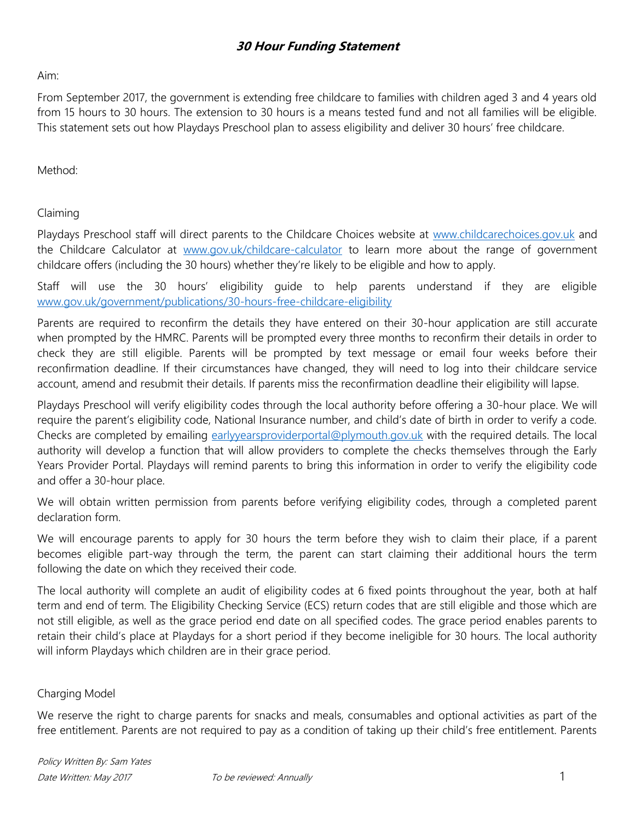## **30 Hour Funding Statement**

Aim:

From September 2017, the government is extending free childcare to families with children aged 3 and 4 years old from 15 hours to 30 hours. The extension to 30 hours is a means tested fund and not all families will be eligible. This statement sets out how Playdays Preschool plan to assess eligibility and deliver 30 hours' free childcare.

Method:

Claiming

Playdays Preschool staff will direct parents to the Childcare Choices website at [www.childcarechoices.gov.uk](http://www.childcarechoices.gov.uk/) and the Childcare Calculator at [www.gov.uk/childcare-calculator](http://www.gov.uk/childcare-calculator) to learn more about the range of government childcare offers (including the 30 hours) whether they're likely to be eligible and how to apply.

Staff will use the 30 hours' eligibility guide to help parents understand if they are eligible [www.gov.uk/government/publications/30-hours-free-childcare-eligibility](http://www.gov.uk/government/publications/30-hours-free-childcare-eligibility)

Parents are required to reconfirm the details they have entered on their 30-hour application are still accurate when prompted by the HMRC. Parents will be prompted every three months to reconfirm their details in order to check they are still eligible. Parents will be prompted by text message or email four weeks before their reconfirmation deadline. If their circumstances have changed, they will need to log into their childcare service account, amend and resubmit their details. If parents miss the reconfirmation deadline their eligibility will lapse.

Playdays Preschool will verify eligibility codes through the local authority before offering a 30-hour place. We will require the parent's eligibility code, National Insurance number, and child's date of birth in order to verify a code. Checks are completed by emailing [earlyyearsproviderportal@plymouth.gov.uk](mailto:earlyyearsproviderportal@plymouth.gov.uk) with the required details. The local authority will develop a function that will allow providers to complete the checks themselves through the Early Years Provider Portal. Playdays will remind parents to bring this information in order to verify the eligibility code and offer a 30-hour place.

We will obtain written permission from parents before verifying eligibility codes, through a completed parent declaration form.

We will encourage parents to apply for 30 hours the term before they wish to claim their place, if a parent becomes eligible part-way through the term, the parent can start claiming their additional hours the term following the date on which they received their code.

The local authority will complete an audit of eligibility codes at 6 fixed points throughout the year, both at half term and end of term. The Eligibility Checking Service (ECS) return codes that are still eligible and those which are not still eligible, as well as the grace period end date on all specified codes. The grace period enables parents to retain their child's place at Playdays for a short period if they become ineligible for 30 hours. The local authority will inform Playdays which children are in their grace period.

## Charging Model

We reserve the right to charge parents for snacks and meals, consumables and optional activities as part of the free entitlement. Parents are not required to pay as a condition of taking up their child's free entitlement. Parents